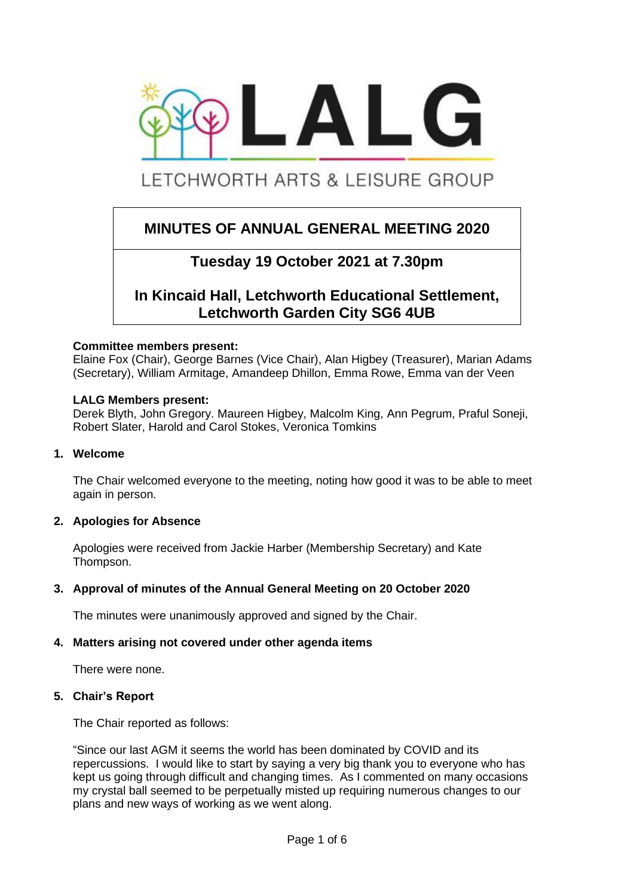

# LETCHWORTH ARTS & LEISURE GROUP

 $\overline{a}$ 

## **MINUTES OF ANNUAL GENERAL MEETING 2020**

## **Tuesday 19 October 2021 at 7.30pm**

## **In Kincaid Hall, Letchworth Educational Settlement, Letchworth Garden City SG6 4UB**

#### **Committee members present:**

Elaine Fox (Chair), George Barnes (Vice Chair), Alan Higbey (Treasurer), Marian Adams (Secretary), William Armitage, Amandeep Dhillon, Emma Rowe, Emma van der Veen

#### **LALG Members present:**

Derek Blyth, John Gregory. Maureen Higbey, Malcolm King, Ann Pegrum, Praful Soneji, Robert Slater, Harold and Carol Stokes, Veronica Tomkins

## **1. Welcome**

The Chair welcomed everyone to the meeting, noting how good it was to be able to meet again in person.

## **2. Apologies for Absence**

Apologies were received from Jackie Harber (Membership Secretary) and Kate Thompson.

## **3. Approval of minutes of the Annual General Meeting on 20 October 2020**

The minutes were unanimously approved and signed by the Chair.

#### **4. Matters arising not covered under other agenda items**

There were none.

#### **5. Chair's Report**

The Chair reported as follows:

"Since our last AGM it seems the world has been dominated by COVID and its repercussions. I would like to start by saying a very big thank you to everyone who has kept us going through difficult and changing times. As I commented on many occasions my crystal ball seemed to be perpetually misted up requiring numerous changes to our plans and new ways of working as we went along.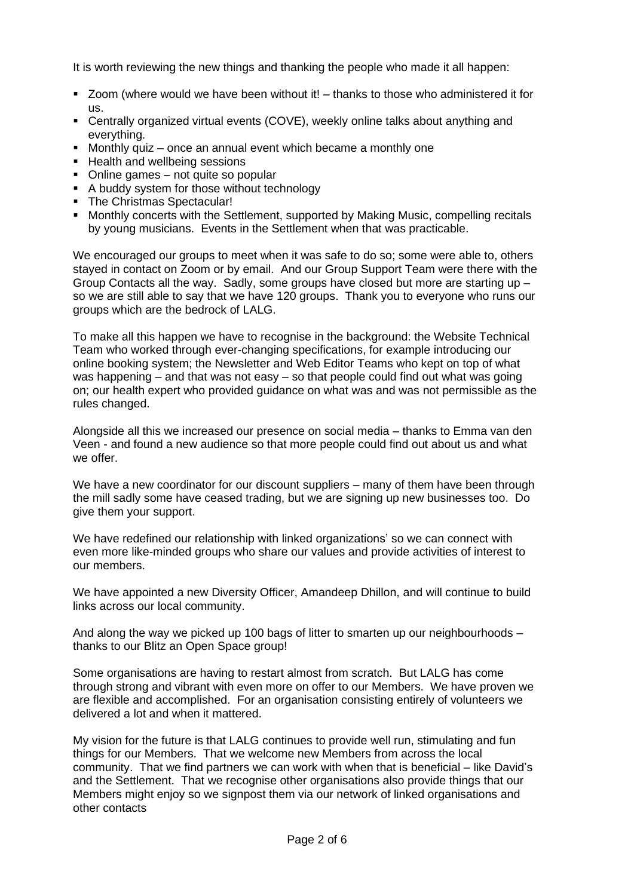It is worth reviewing the new things and thanking the people who made it all happen:

- Zoom (where would we have been without it! thanks to those who administered it for us.
- Centrally organized virtual events (COVE), weekly online talks about anything and everything.
- Monthly quiz once an annual event which became a monthly one
- Health and wellbeing sessions
- Online games not quite so popular
- A buddy system for those without technology
- The Christmas Spectacular!
- Monthly concerts with the Settlement, supported by Making Music, compelling recitals by young musicians. Events in the Settlement when that was practicable.

We encouraged our groups to meet when it was safe to do so; some were able to, others stayed in contact on Zoom or by email. And our Group Support Team were there with the Group Contacts all the way. Sadly, some groups have closed but more are starting up – so we are still able to say that we have 120 groups. Thank you to everyone who runs our groups which are the bedrock of LALG.

To make all this happen we have to recognise in the background: the Website Technical Team who worked through ever-changing specifications, for example introducing our online booking system; the Newsletter and Web Editor Teams who kept on top of what was happening – and that was not easy – so that people could find out what was going on; our health expert who provided guidance on what was and was not permissible as the rules changed.

Alongside all this we increased our presence on social media – thanks to Emma van den Veen - and found a new audience so that more people could find out about us and what we offer.

We have a new coordinator for our discount suppliers – many of them have been through the mill sadly some have ceased trading, but we are signing up new businesses too. Do give them your support.

We have redefined our relationship with linked organizations' so we can connect with even more like-minded groups who share our values and provide activities of interest to our members.

We have appointed a new Diversity Officer, Amandeep Dhillon, and will continue to build links across our local community.

And along the way we picked up 100 bags of litter to smarten up our neighbourhoods – thanks to our Blitz an Open Space group!

Some organisations are having to restart almost from scratch. But LALG has come through strong and vibrant with even more on offer to our Members. We have proven we are flexible and accomplished. For an organisation consisting entirely of volunteers we delivered a lot and when it mattered.

My vision for the future is that LALG continues to provide well run, stimulating and fun things for our Members. That we welcome new Members from across the local community. That we find partners we can work with when that is beneficial – like David's and the Settlement. That we recognise other organisations also provide things that our Members might enjoy so we signpost them via our network of linked organisations and other contacts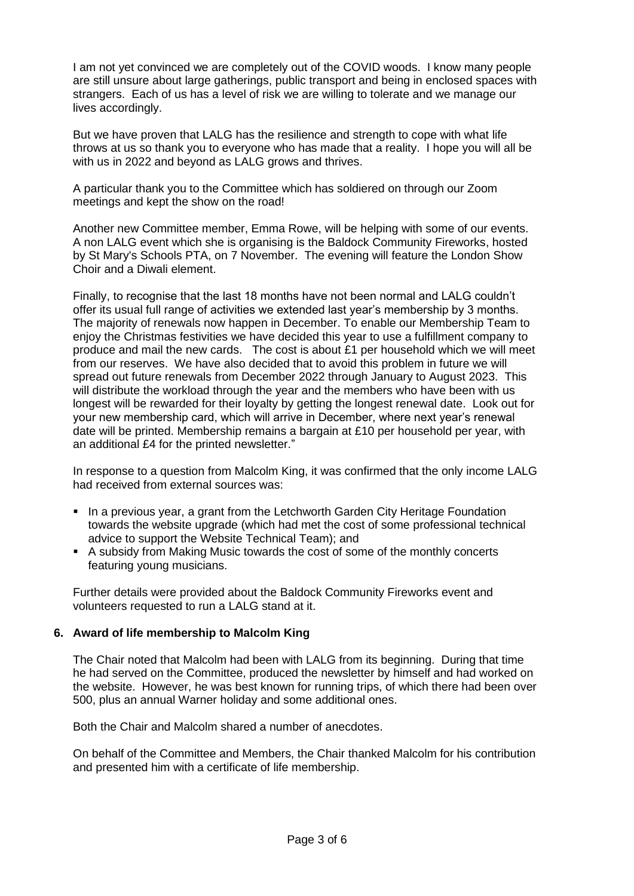I am not yet convinced we are completely out of the COVID woods. I know many people are still unsure about large gatherings, public transport and being in enclosed spaces with strangers. Each of us has a level of risk we are willing to tolerate and we manage our lives accordingly.

But we have proven that LALG has the resilience and strength to cope with what life throws at us so thank you to everyone who has made that a reality. I hope you will all be with us in 2022 and beyond as LALG grows and thrives.

A particular thank you to the Committee which has soldiered on through our Zoom meetings and kept the show on the road!

Another new Committee member, Emma Rowe, will be helping with some of our events. A non LALG event which she is organising is the Baldock Community Fireworks, hosted by St Mary's Schools PTA, on 7 November. The evening will feature the London Show Choir and a Diwali element.

Finally, to recognise that the last 18 months have not been normal and LALG couldn't offer its usual full range of activities we extended last year's membership by 3 months. The majority of renewals now happen in December. To enable our Membership Team to enjoy the Christmas festivities we have decided this year to use a fulfillment company to produce and mail the new cards. The cost is about £1 per household which we will meet from our reserves. We have also decided that to avoid this problem in future we will spread out future renewals from December 2022 through January to August 2023. This will distribute the workload through the year and the members who have been with us longest will be rewarded for their loyalty by getting the longest renewal date. Look out for your new membership card, which will arrive in December, where next year's renewal date will be printed. Membership remains a bargain at £10 per household per year, with an additional £4 for the printed newsletter."

In response to a question from Malcolm King, it was confirmed that the only income LALG had received from external sources was:

- In a previous year, a grant from the Letchworth Garden City Heritage Foundation towards the website upgrade (which had met the cost of some professional technical advice to support the Website Technical Team); and
- A subsidy from Making Music towards the cost of some of the monthly concerts featuring young musicians.

Further details were provided about the Baldock Community Fireworks event and volunteers requested to run a LALG stand at it.

## **6. Award of life membership to Malcolm King**

The Chair noted that Malcolm had been with LALG from its beginning. During that time he had served on the Committee, produced the newsletter by himself and had worked on the website. However, he was best known for running trips, of which there had been over 500, plus an annual Warner holiday and some additional ones.

Both the Chair and Malcolm shared a number of anecdotes.

On behalf of the Committee and Members, the Chair thanked Malcolm for his contribution and presented him with a certificate of life membership.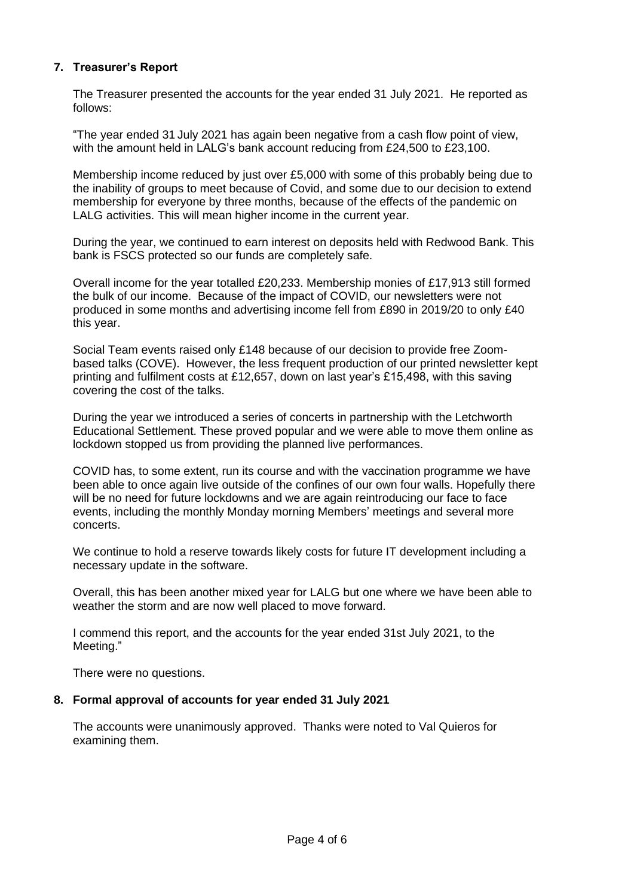## **7. Treasurer's Report**

The Treasurer presented the accounts for the year ended 31 July 2021. He reported as follows:

"The year ended 31 July 2021 has again been negative from a cash flow point of view, with the amount held in LALG's bank account reducing from £24,500 to £23,100.

Membership income reduced by just over £5,000 with some of this probably being due to the inability of groups to meet because of Covid, and some due to our decision to extend membership for everyone by three months, because of the effects of the pandemic on LALG activities. This will mean higher income in the current year.

During the year, we continued to earn interest on deposits held with Redwood Bank. This bank is FSCS protected so our funds are completely safe.

Overall income for the year totalled £20,233. Membership monies of £17,913 still formed the bulk of our income. Because of the impact of COVID, our newsletters were not produced in some months and advertising income fell from £890 in 2019/20 to only £40 this year.

Social Team events raised only £148 because of our decision to provide free Zoombased talks (COVE). However, the less frequent production of our printed newsletter kept printing and fulfilment costs at £12,657, down on last year's £15,498, with this saving covering the cost of the talks.

During the year we introduced a series of concerts in partnership with the Letchworth Educational Settlement. These proved popular and we were able to move them online as lockdown stopped us from providing the planned live performances.

COVID has, to some extent, run its course and with the vaccination programme we have been able to once again live outside of the confines of our own four walls. Hopefully there will be no need for future lockdowns and we are again reintroducing our face to face events, including the monthly Monday morning Members' meetings and several more concerts.

We continue to hold a reserve towards likely costs for future IT development including a necessary update in the software.

Overall, this has been another mixed year for LALG but one where we have been able to weather the storm and are now well placed to move forward.

I commend this report, and the accounts for the year ended 31st July 2021, to the Meeting."

There were no questions.

## **8. Formal approval of accounts for year ended 31 July 2021**

The accounts were unanimously approved. Thanks were noted to Val Quieros for examining them.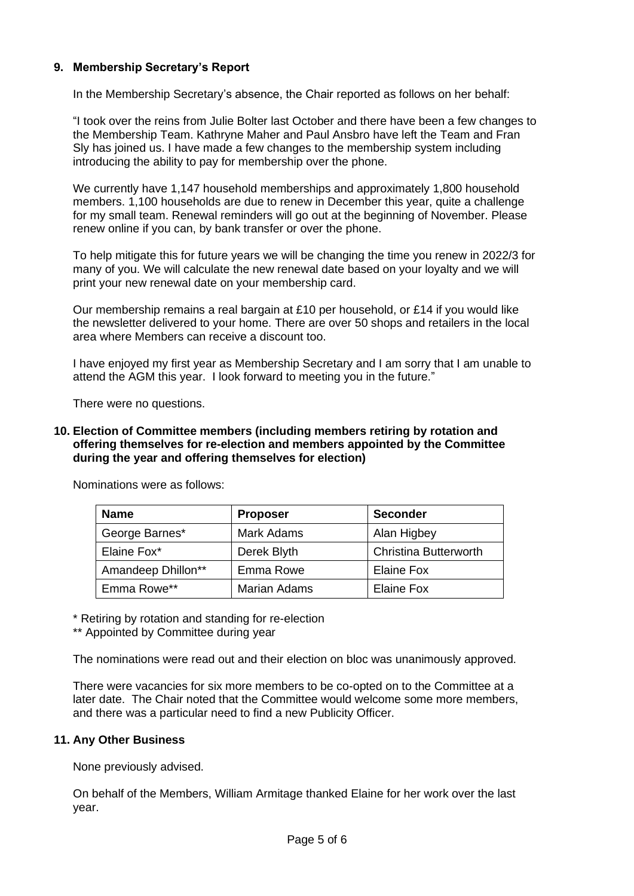## **9. Membership Secretary's Report**

In the Membership Secretary's absence, the Chair reported as follows on her behalf:

"I took over the reins from Julie Bolter last October and there have been a few changes to the Membership Team. Kathryne Maher and Paul Ansbro have left the Team and Fran Sly has joined us. I have made a few changes to the membership system including introducing the ability to pay for membership over the phone.

We currently have 1,147 household memberships and approximately 1,800 household members. 1,100 households are due to renew in December this year, quite a challenge for my small team. Renewal reminders will go out at the beginning of November. Please renew online if you can, by bank transfer or over the phone.

To help mitigate this for future years we will be changing the time you renew in 2022/3 for many of you. We will calculate the new renewal date based on your loyalty and we will print your new renewal date on your membership card.

Our membership remains a real bargain at £10 per household, or £14 if you would like the newsletter delivered to your home. There are over 50 shops and retailers in the local area where Members can receive a discount too.

I have enjoyed my first year as Membership Secretary and I am sorry that I am unable to attend the AGM this year. I look forward to meeting you in the future."

There were no questions.

### **10. Election of Committee members (including members retiring by rotation and offering themselves for re-election and members appointed by the Committee during the year and offering themselves for election)**

| <b>Name</b>        | <b>Proposer</b>     | <b>Seconder</b>              |
|--------------------|---------------------|------------------------------|
| George Barnes*     | <b>Mark Adams</b>   | Alan Higbey                  |
| Elaine Fox*        | Derek Blyth         | <b>Christina Butterworth</b> |
| Amandeep Dhillon** | Emma Rowe           | Elaine Fox                   |
| Emma Rowe**        | <b>Marian Adams</b> | Elaine Fox                   |

Nominations were as follows:

\* Retiring by rotation and standing for re-election

\*\* Appointed by Committee during year

The nominations were read out and their election on bloc was unanimously approved.

There were vacancies for six more members to be co-opted on to the Committee at a later date. The Chair noted that the Committee would welcome some more members, and there was a particular need to find a new Publicity Officer.

#### **11. Any Other Business**

None previously advised.

On behalf of the Members, William Armitage thanked Elaine for her work over the last year.